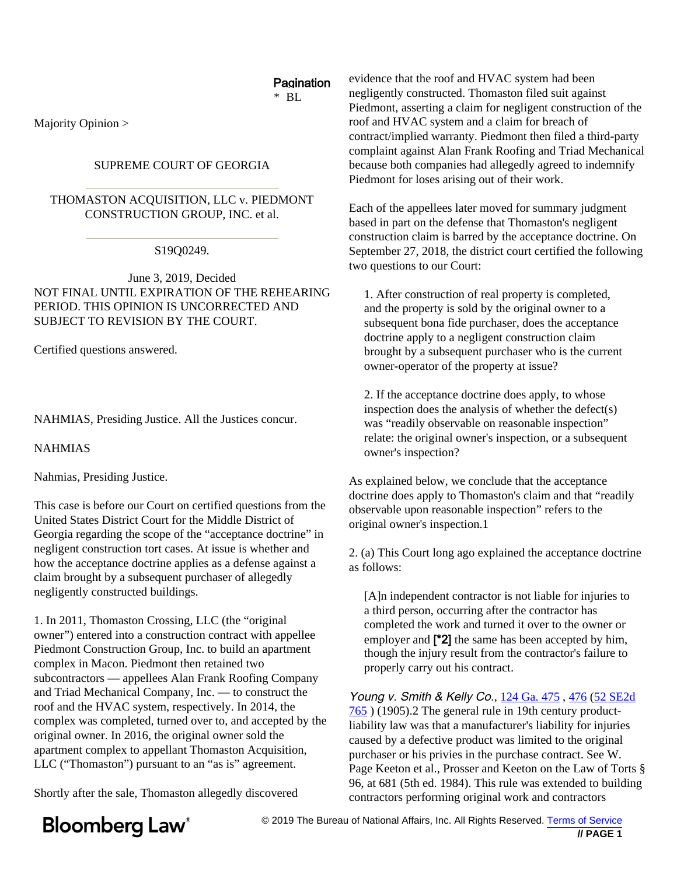#### **Pagination**  $*$  BL

Majority Opinion >

### SUPREME COURT OF GEORGIA

THOMASTON ACQUISITION, LLC v. PIEDMONT CONSTRUCTION GROUP, INC. et al.

S19Q0249.

June 3, 2019, Decided NOT FINAL UNTIL EXPIRATION OF THE REHEARING PERIOD. THIS OPINION IS UNCORRECTED AND SUBJECT TO REVISION BY THE COURT.

Certified questions answered.

NAHMIAS, Presiding Justice. All the Justices concur.

NAHMIAS

Nahmias, Presiding Justice.

This case is before our Court on certified questions from the United States District Court for the Middle District of Georgia regarding the scope of the "acceptance doctrine" in negligent construction tort cases. At issue is whether and how the acceptance doctrine applies as a defense against a claim brought by a subsequent purchaser of allegedly negligently constructed buildings.

1. In 2011, Thomaston Crossing, LLC (the "original owner") entered into a construction contract with appellee Piedmont Construction Group, Inc. to build an apartment complex in Macon. Piedmont then retained two subcontractors — appellees Alan Frank Roofing Company and Triad Mechanical Compan[y, Inc. — to](https://www.bloomberglaw.com/product/blaw/document/XACMDA?jcsearch=124 Ga. 475&summary=yes#jcite) c[onst](https://www.bloomberglaw.com/ms/product/blaw/document/XACMDA?jcsearch=476&summary=yes#jcite)r[uct the](https://www.bloomberglaw.com/product/blaw/document/XACMDA?jcsearch=52 SE2d 765&summary=yes#jcite) [roof](https://www.bloomberglaw.com/product/blaw/document/XACMDA?jcsearch=52 SE2d 765&summary=yes#jcite) and the HVAC system, respectively. In 2014, the complex was completed, turned over to, and accepted by the original owner. In 2016, the original owner sold the apartment complex to appellant Thomaston Acquisition, LLC ("Thomaston") pursuant to an "as is" agreement.

Shortly after the sale, Thomaston allegedly discovered

evidence that the roof and HVAC system had been negligently constructed. Thomaston filed suit against Piedmont, asserting a claim for negligent construction of the roof and HVAC system and a claim for breach of contract/implied warranty. Piedmont then filed a third-party complaint against Alan Frank Roofing and Triad Mechanical because both companies had allegedly agreed to indemnify Piedmont for loses arising out of their work.

Each of the appellees later moved for summary judgment based in part on the defense that Thomaston's negligent construction claim is barred by the acceptance doctrine. On September 27, 2018, the district court certified the following two questions to our Court:

1. After construction of real property is completed, and the property is sold by the original owner to a subsequent bona fide purchaser, does the acceptance doctrine apply to a negligent construction claim brought by a subsequent purchaser who is the current owner-operator of the property at issue?

2. If the acceptance doctrine does apply, to whose inspection does the analysis of whether the defect(s) was "readily observable on reasonable inspection" relate: the original owner's inspection, or a subsequent owner's inspection?

As explained below, we conclude that the acceptance doctrine does apply to Thomaston's claim and that "readily observable upon reasonable inspection" refers to the original owner's inspection.1

2. (a) This Court long ago explained the acceptance doctrine as follows:

[A]n independent contractor is not liable for injuries to a third person, occurring after the contractor has completed the work and turned it over to the owner or employer and [\*2] the same has been accepted by him, though the injury result from the contractor's failure to properly carry out his contract.

Young v. Smith & Kelly Co., 124 Ga. 475, 476 (52 SE2d 765 ) (1905).2 The general rule in 19th century productliability law was that a manufacturer's liability for injuries caused by a defective product was limited to the original purchaser or his privies in the purchase contract. See W. Page Keeton et al., Prosser and Keeton on the Law of Torts § 96, at 681 (5th ed. 1984). This rule was extended to building contractors performing original work and contractors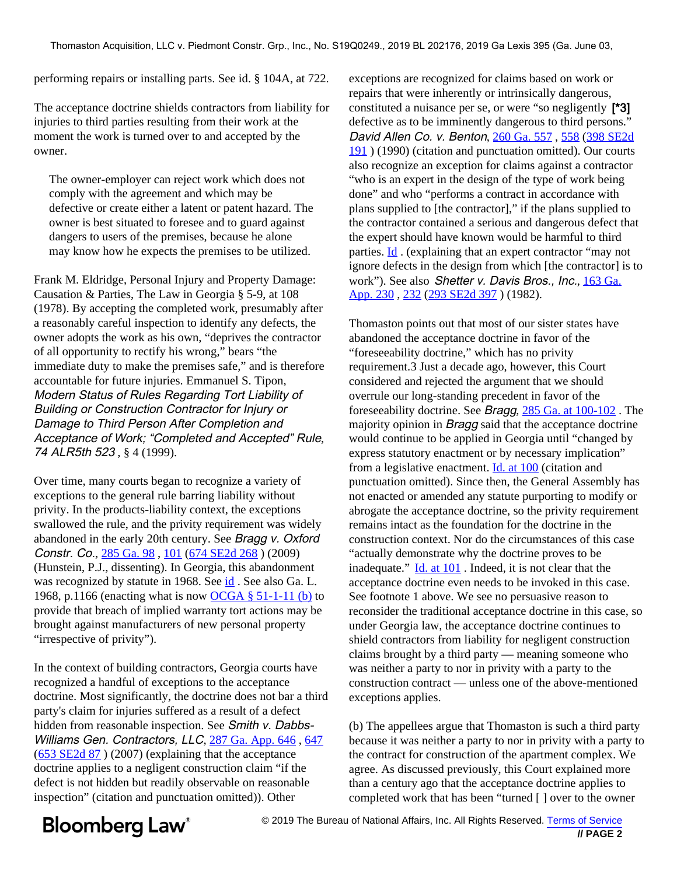performing repairs or installing parts. See id. § 104A, at 722.

The acceptance doctrine shields contractors from liability for injuries to third parties resulting from their work at the moment the work is turned o[ver to and ac](https://www.bloomberglaw.com/product/blaw/document/X4CKHA?jcsearch=260 Ga. 557&summary=yes#jcite)c[epted](https://www.bloomberglaw.com/ms/product/blaw/document/X4CKHA?jcsearch=558&summary=yes#jcite) [by the](https://www.bloomberglaw.com/product/blaw/document/X4CKHA?jcsearch=398 SE2d 191&summary=yes#jcite) [own](https://www.bloomberglaw.com/product/blaw/document/X4CKHA?jcsearch=398 SE2d 191&summary=yes#jcite)er.

The owner-employer can reject work which does not comply with the agreement and which may be defective or create either a latent or patent hazard. The owner is best situated to foresee and to guard against dangers to users of the premises, because he alone may [kn](https://www.bloomberglaw.com/product/blaw/document/X4CKHA?jcsearch=260 Ga. 557&summary=yes#jcite)ow how he expects the premises to be utilized.

Frank M. Eldridge, Personal Injury and Propert[y Damag](https://www.bloomberglaw.com/product/blaw/document/XAD4QJ?jcsearch=163 Ga. App. 230&summary=yes#jcite)e: [Causation](https://www.bloomberglaw.com/product/blaw/document/XAD4QJ?jcsearch=163 Ga. App. 230&summary=yes#jcite) [& Pa](https://www.bloomberglaw.com/ms/product/blaw/document/XAD4QJ?jcsearch=232&summary=yes#jcite)[rties, The Law](https://www.bloomberglaw.com/product/blaw/document/XAD4QJ?jcsearch=293 SE2d 397&summary=yes#jcite) in Georgia § 5-9, at 108 (1978). By accepting the completed work, presumably after a reasonably careful inspection to identify any defects, the owner adopts the work as his own, "deprives the contractor of all opportunity to rectify his wrong," bears "the immediate duty to make the premises safe," and is therefore accountable for future injuries. Emmanuel S. Tipon, Modern Status of Rules Regarding Tort Liability of Building or Construction Contra[ctor for Injury or](https://www.bloomberglaw.com/product/blaw/document/X1AHFQO003?jcsearch=285 Ga. at 100-102&summary=yes#jcite) Damage to Third Person After Completion and Acceptance of Work; "Completed and Accepted" Rule, 74 ALR5th 523, § 4 (1999)[.](https://www.bloomberglaw.com/product/blaw/document/X1AHFQO003?jcsearch=285 Ga. 98&summary=yes#jcite)

Over time, many courts began to recognize a variety of exceptions to the general rule barring liability without privity. In the products-liability context, the exceptions swallowed the rule, and the privity requirement was widely abandoned in the early 20th century. See Bragg v. Oxford Constr. Co., [285 Ga. 98](https://www.bloomberglaw.com/product/blaw/document/X1AHFQO003?jcsearch=285 Ga. 98&summary=yes#jcite) , [101](https://www.bloomberglaw.com/ms/product/blaw/document/X1AHFQO003?jcsearch=101&summary=yes#jcite) ([674 SE2d 268](https://www.bloomberglaw.com/product/blaw/document/X1AHFQO003?jcsearch=674 SE2d 268&summary=yes#jcite) ) (2009) (Hunstein, P.[J., dissent](https://www.bloomberglaw.com/product/blaw/document/X1AHFQO003?jcsearch=285 Ga. 98&summary=yes#jcite)ing). In Georgia, this abandonment was recognized by statute in 1968. See [id](https://www.bloomberglaw.com/product/blaw/document/X1AHFQO003?jcsearch=285 Ga. 98&summary=yes#jcite). See also Ga. L. 1968, p.1166 (enacting what is now [OCGA § 51-1-11 \(b\)](https://www.bloomberglaw.com/product/blaw/document/X384NK18?jcsearch=OCGA %26sect; 51-1-11 (b)&summary=yes#jcite) to provide that breach of implied warranty tort actions may be brought against manufacturers of new personal property "irrespective of privity").

In the context of building contractors, Georgia courts have recognized a handful of exceptions to the acceptance doctrine. Most significantly, the doctrine does not bar a third party's claim for injuries suffered as a result of a defect hidden from reasonable inspection. See Smith v. Dabbs-Williams Gen. Contractors, LLC, [287 Ga. App. 646](https://www.bloomberglaw.com/product/blaw/document/X17NJ6E003?jcsearch=287 Ga. App. 646&summary=yes#jcite), [647](https://www.bloomberglaw.com/ms/product/blaw/document/X17NJ6E003?jcsearch=647&summary=yes#jcite) [\(653 SE2d 87](https://www.bloomberglaw.com/product/blaw/document/X17NJ6E003?jcsearch=653 SE2d 87&summary=yes#jcite) ) (2007) (explaining that the acceptance doctrine applies to a negligent construction claim "if the defect is not hidden but readily observable on reasonable inspection" (citation and punctuation omitted)). Other

exceptions are recognized for claims based on work or repairs that were inherently or intrinsically dangerous, constituted a nuisance per se, or were "so negligently [\*3] defective as to be imminently dangerous to third persons." David Allen Co. v. Benton, 260 Ga. 557 , 558 (398 SE2d 191 ) (1990) (citation and punctuation omitted). Our courts also recognize an exception for claims against a contractor "who is an expert in the design of the type of work being done" and who "performs a contract in accordance with plans supplied to [the contractor]," if the plans supplied to the contractor contained a serious and dangerous defect that the expert should have known would be harmful to third parties. Id . (explaining that an expert contractor "may not ignore defects in the design from which [the contractor] is to work"). See also Shetter v. Davis Bros., Inc., 163 Ga. App. 230, 232 (293 SE2d 397) (1982).

Thomaston points out that most of our sister states have abandoned the acceptance doctrine in favor of the "foreseeability doctrine," which has no privity requirement.3 Just a decade ago, however, this Court considered and rejected the argument that we should overrule our long-standing precedent in favor of the foreseeability doctrine. See Bragg, 285 Ga. at 100-102 . The majority opinion in *Bragg* said that the acceptance doctrine would continue to be applied in Georgia until "changed by express statutory enactment or by necessary implication" from a legislative enactment. Id. at 100 (citation and punctuation omitted). Since then, the General Assembly has not enacted or amended any statute purporting to modify or abrogate the acceptance doctrine, so the privity requirement remains intact as the foundation for the doctrine in the construction context. Nor do the circumstances of this case "actually demonstrate why the doctrine proves to be inadequate." Id. at 101 . Indeed, it is not clear that the acceptance doctrine even needs to be invoked in this case. See footnote 1 above. We see no persuasive reason to reconsider the traditional acceptance doctrine in this case, so under Georgia law, the acceptance doctrine continues to shield contractors from liability for negligent construction claims brought by a third party — meaning someone who was neither a party to nor in privity with a party to the construction contract — unless one of the above-mentioned exceptions applies.

(b) The appellees argue that Thomaston is such a third party because it was neither a party to nor in privity with a party to the contract for construction of the apartment complex. We agree. As discussed previously, this Court explained more than a century ago that the acceptance doctrine applies to completed work that has been "turned [ ] over to the owner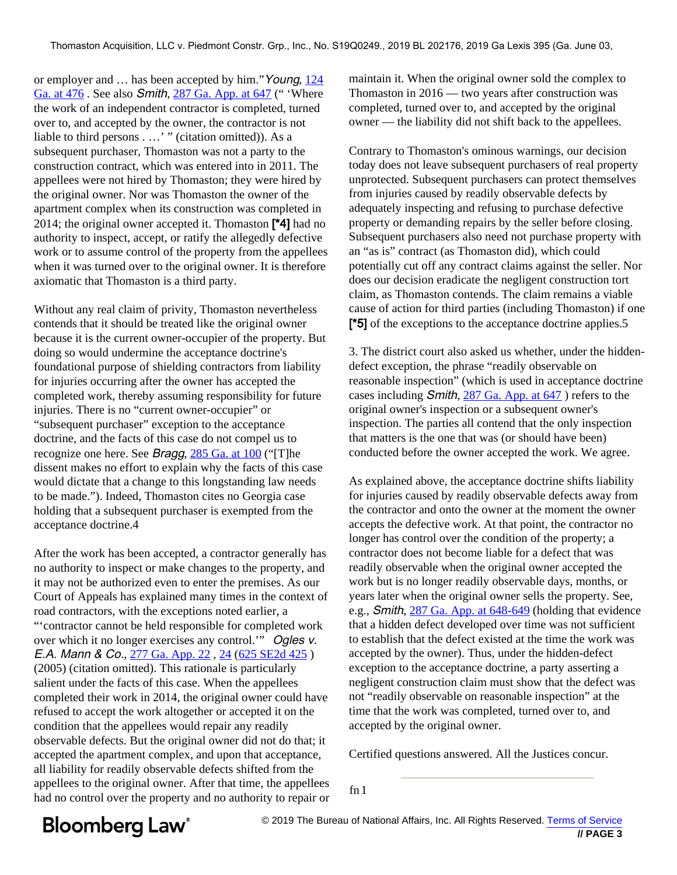or employer and ... has been accepted by him." Young, [124](https://www.bloomberglaw.com/product/blaw/document/XACMDA?jcsearch=124 Ga. at 476&summary=yes#jcite) [Ga. at 476](https://www.bloomberglaw.com/product/blaw/document/XACMDA?jcsearch=124 Ga. at 476&summary=yes#jcite). See also *Smith*, [287 Ga. App. at 647](https://www.bloomberglaw.com/product/blaw/document/X17NJ6E003?jcsearch=287 Ga. App. at 647&summary=yes#jcite) ("Where the work of an independent contractor is completed, turned over to, and accepted by the owner, the contractor is not liable to third persons . …' " (citation omitted)). As a subsequent purchaser, Thomaston was not a party to the construction contract, which was entered into in 2011. The appellees were not hired by Thomaston; they were hired by the original owner. Nor was Thomaston the owner of the apartment complex when its construction was completed in 2014; the original owner accepted it. Thomaston  $[4]$  had no authority to inspect, accept, or ratify the allegedly defective work or to assume control of the property from the appellees when it was turned over to the original owner. It is therefore axiomatic that Thomaston is a third party.

Without any real claim of privity, Thomaston nevertheless contends that it should be treated like the original owner because it is the current owner-occupier of the property. But doing so would undermine the acceptance doctrine's foundational purpose of shielding contractors from liability for injuries occurring after the owner has accepted the completed work, there[by assuming responsi](https://www.bloomberglaw.com/product/blaw/document/X17NJ6E003?jcsearch=287 Ga. App. at 647&summary=yes#jcite)bility for future injuries. There is no "current owner-occupier" or "subsequent purchaser" exception to the acceptance doctrine, and the facts of this case do not compel us to recognize one here. See Bragg, [285 Ga. at 100](https://www.bloomberglaw.com/product/blaw/document/X1AHFQO003?jcsearch=285 Ga. at 100&summary=yes#jcite) ("[T]he dissent makes no effort to explain why the facts of this case would dictate that a change to this longstanding law needs to be made."). Indeed, Thomaston cites no Georgia case holding that a subsequent purchaser is exempted from the acceptance doctrine.4

After the work has been accepted, a contractor generally has no authority to inspect or make changes to the property, and it may not be authorized even to enter the premises. As our Court of Appeals has explained many times in the context of road contra[ctors, with the exceptions](https://www.bloomberglaw.com/product/blaw/document/X17NJ6E003?jcsearch=287 Ga. App. at 648-649&summary=yes#jcite) noted earlier, a "'contractor cannot be held responsible for completed work over which it no longer exercises any control." Ogles v. E.A. Mann & Co., [277 Ga. App. 22](https://www.bloomberglaw.com/product/blaw/document/X13KCAS003?jcsearch=277 Ga. App. 22&summary=yes#jcite) , [24](https://www.bloomberglaw.com/ms/product/blaw/document/X13KCAS003?jcsearch=24&summary=yes#jcite) [\(625 SE2d 425](https://www.bloomberglaw.com/product/blaw/document/X13KCAS003?jcsearch=625 SE2d 425&summary=yes#jcite) ) (2005) (citation omitted). This rationale is particularly salient under the facts of this case. When the appellees completed their work in 2014, the original owner could have refused to accept the work altogether or accepted it on the condition that the appellees would repair any readily observable defects. But the original owner did not do that; it accepted the apartment complex, and upon that acceptance, all liability for readily observable defects shifted from the appellees to the original owner. After that time, the appellees had no control over the property and no authority to repair or maintain it. When the original owner sold the complex to Thomaston in 2016 — two years after construction was completed, turned over to, and accepted by the original owner — the liability did not shift back to the appellees.

Contrary to Thomaston's ominous warnings, our decision today does not leave subsequent purchasers of real property unprotected. Subsequent purchasers can protect themselves from injuries caused by readily observable defects by adequately inspecting and refusing to purchase defective property or demanding repairs by the seller before closing. Subsequent purchasers also need not purchase property with an "as is" contract (as Thomaston did), which could potentially cut off any contract claims against the seller. Nor does our decision eradicate the negligent construction tort claim, as Thomaston contends. The claim remains a viable cause of action for third parties (including Thomaston) if one [\*5] of the exceptions to the acceptance doctrine applies.5

3. The district court also asked us whether, under the hiddendefect exception, the phrase "readily observable on reasonable inspection" (which is used in acceptance doctrine cases including Smith, 287 Ga. App. at 647 ) refers to the original owner's inspection or a subsequent owner's inspection. The parties all contend that the only inspection that matters is the one that was (or should have been) conducted before the owner accepted the work. We agree.

As explained above, the acceptance doctrine shifts liability for injuries caused by readily observable defects away from the contractor and onto the owner at the moment the owner accepts the defective work. At that point, the contractor no longer has control over the condition of the property; a contractor does not become liable for a defect that was readily observable when the original owner accepted the work but is no longer readily observable days, months, or years later when the original owner sells the property. See, e.g., Smith, 287 Ga. App. at 648-649 (holding that evidence that a hidden defect developed over time was not sufficient to establish that the defect existed at the time the work was accepted by the owner). Thus, under the hidden-defect exception to the acceptance doctrine, a party asserting a negligent construction claim must show that the defect was not "readily observable on reasonable inspection" at the time that the work was completed, turned over to, and accepted by the original owner.

Certified questions answered. All the Justices concur.

fn 1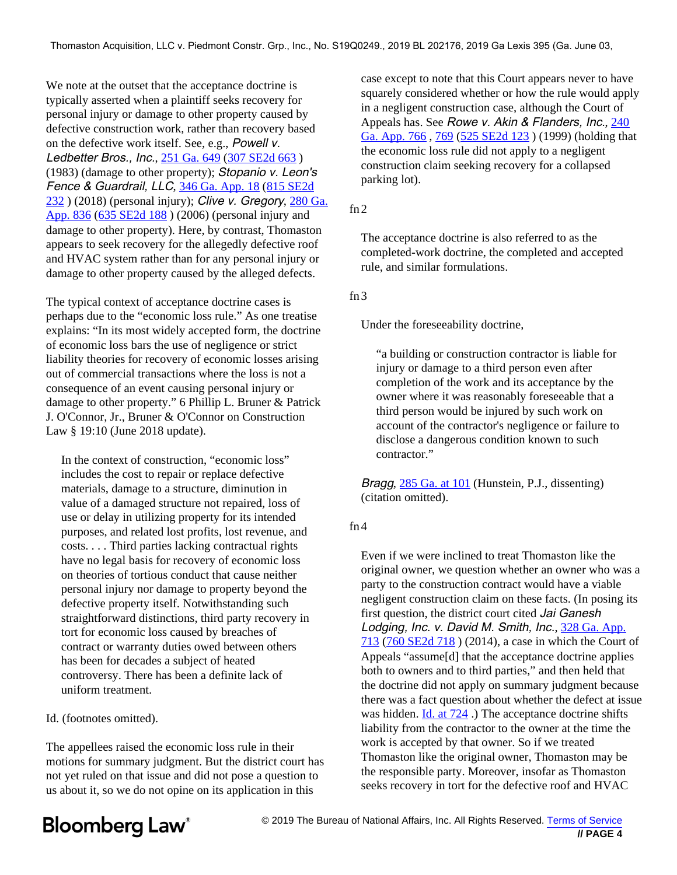We note at the outset that the acceptance doctrine is typically asserted when a plaintiff seeks recovery for personal injury or damage to other property caused [by](https://www.bloomberglaw.com/product/blaw/document/X3MHBA?jcsearch=240 Ga. App. 766&summary=yes#jcite) [defective con](https://www.bloomberglaw.com/product/blaw/document/X3MHBA?jcsearch=240 Ga. App. 766&summary=yes#jcite)st[ruct](https://www.bloomberglaw.com/ms/product/blaw/document/X3MHBA?jcsearch=769&summary=yes#jcite)i[on work, rather](https://www.bloomberglaw.com/product/blaw/document/X3MHBA?jcsearch=525 SE2d 123&summary=yes#jcite) than recovery based on the defective work itself. See, e.g., Powell v. Ledbetter Bros., Inc., [251 Ga. 649](https://www.bloomberglaw.com/product/blaw/document/XACTKH?jcsearch=251 Ga. 649&summary=yes#jcite) [\(307 SE2d 663](https://www.bloomberglaw.com/product/blaw/document/XACTKH?jcsearch=307 SE2d 663&summary=yes#jcite)) (1983) (damage to other property); Stopanio v. Leon's Fence & Guardrail, LLC, [346 Ga. App. 18](https://www.bloomberglaw.com/product/blaw/document/X1KSFO8B0000N?jcsearch=346 Ga. App. 18&summary=yes#jcite) [\(815 SE2d](https://www.bloomberglaw.com/product/blaw/document/X1KSFO8B0000N?jcsearch=815 SE2d 232&summary=yes#jcite)  $232$ ) (2018) (personal injury); Clive v. Gregory,  $280$  Ga. [App. 836](https://www.bloomberglaw.com/product/blaw/document/X15C8VG003?jcsearch=280 Ga. App. 836&summary=yes#jcite) [\(635 SE2d 188](https://www.bloomberglaw.com/product/blaw/document/X15C8VG003?jcsearch=635 SE2d 188&summary=yes#jcite) ) (2006) (personal injury and damage to other property). Here, by contrast, Thomaston appears to seek recovery for the allegedly defective roof and HVAC system rather than for any personal injury or damage to other property caused by the alleged defects.

The typical context of acceptance doctrine cases is perhaps due to the "economic loss rule." As one treatise explains: "In its most widely accepted form, the doctrine of economic loss bars the use of negligence or strict liability theories for recovery of economic losses arising out of commercial transactions where the loss is not a consequence of an event causing personal injury or damage to other property." 6 Phillip L. Bruner & Patrick J. O'Connor, Jr., Bruner & O'Connor on Construction Law § 19:10 (June 2018 update).

In the context of construction, "economic loss" incl[udes the cost to](https://www.bloomberglaw.com/product/blaw/document/X1AHFQO003?jcsearch=285 Ga. at 101&summary=yes#jcite) repair or replace defective materials, damage to a structure, diminution in value of a damaged structure not repaired, loss of use or delay in utilizing property for its intended purposes, and related lost profits, lost revenue, and costs. . . . Third parties lacking contractual rights have no legal basis for recovery of economic loss on theories of tortious conduct that cause neither personal injury nor damage to property beyond the defective property itself. Notwithstanding such straightforward distinctions, third par[ty recovery in](https://www.bloomberglaw.com/product/blaw/document/X17O6C3P0000N?jcsearch=328 Ga. App. 713&summary=yes#jcite) [t](https://www.bloomberglaw.com/product/blaw/document/X17O6C3P0000N?jcsearch=328 Ga. App. 713&summary=yes#jcite)o[rt for economi](https://www.bloomberglaw.com/product/blaw/document/X17O6C3P0000N?jcsearch=760 SE2d 718&summary=yes#jcite)c loss caused by breaches of contract or warranty duties owed between others has been for decades a subject of heated controversy. There has been a definite lack of uniform treatment.

Id. (footnot[es omitted\)](https://www.bloomberglaw.com/product/blaw/document/X17O6C3P0000N?jcsearch=328 Ga. App. 713&summary=yes#jcite).

The appellees raised the economic loss rule in their motions for summary judgment. But the district court has not yet ruled on that issue and did not pose a question to us about it, so we do not opine on its application in this

case except to note that this Court appears never to have squarely considered whether or how the rule would apply in a negligent construction case, although the Court of Appeals has. See Rowe v. Akin & Flanders, Inc., 240 Ga. App. 766 , 769 (525 SE2d 123 ) (1999) (holding that the economic loss rule did not apply to a negligent construction claim seeking recovery for a collapsed parking lot).

### fn 2

The acceptance doctrine is also referred to as the completed-work doctrine, the completed and accepted rule, and similar formulations.

#### fn 3

Under the foreseeability doctrine,

"a building or construction contractor is liable for injury or damage to a third person even after completion of the work and its acceptance by the owner where it was reasonably foreseeable that a third person would be injured by such work on account of the contractor's negligence or failure to disclose a dangerous condition known to such contractor."

Bragg, 285 Ga. at 101 (Hunstein, P.J., dissenting) (citation omitted).

#### fn 4

Even if we were inclined to treat Thomaston like the original owner, we question whether an owner who was a party to the construction contract would have a viable negligent construction claim on these facts. (In posing its first question, the district court cited Jai Ganesh Lodging, Inc. v. David M. Smith, Inc., 328 Ga. App. 713 (760 SE2d 718 ) (2014), a case in which the Court of Appeals "assume[d] that the acceptance doctrine applies both to owners and to third parties," and then held that the doctrine did not apply on summary judgment because there was a fact question about whether the defect at issue was hidden. Id. at 724 .) The acceptance doctrine shifts liability from the contractor to the owner at the time the work is accepted by that owner. So if we treated Thomaston like the original owner, Thomaston may be the responsible party. Moreover, insofar as Thomaston seeks recovery in tort for the defective roof and HVAC